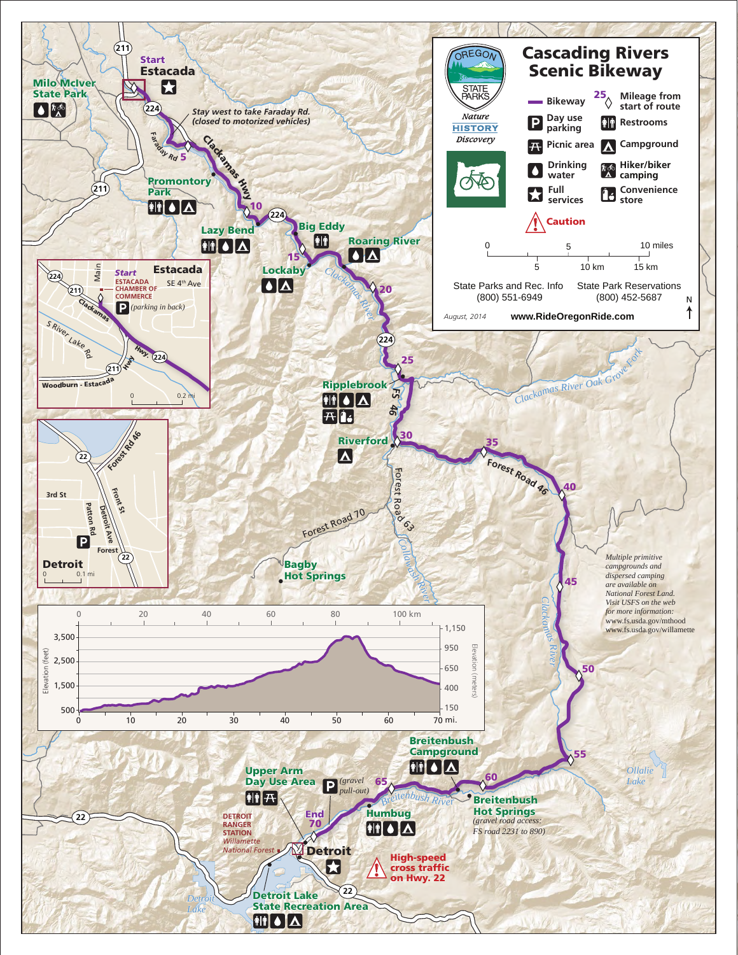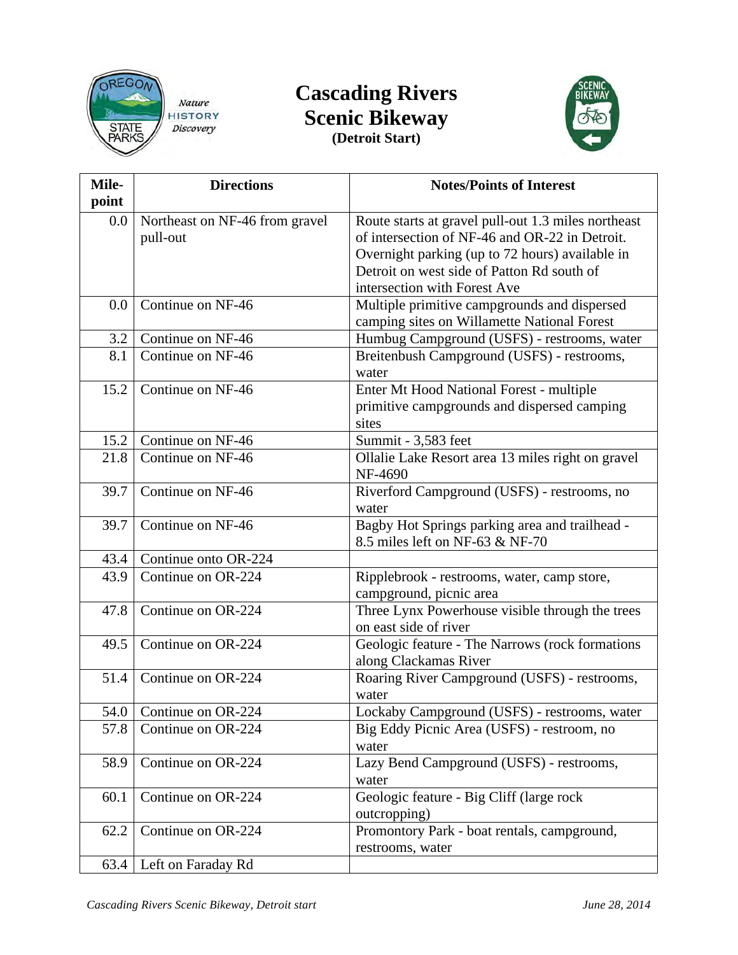

## **Cascading Rivers Scenic Bikeway (Detroit Start)**



| Mile-<br>point | <b>Directions</b>                          | <b>Notes/Points of Interest</b>                                                                                                                                                                                                        |
|----------------|--------------------------------------------|----------------------------------------------------------------------------------------------------------------------------------------------------------------------------------------------------------------------------------------|
| $0.0\,$        | Northeast on NF-46 from gravel<br>pull-out | Route starts at gravel pull-out 1.3 miles northeast<br>of intersection of NF-46 and OR-22 in Detroit.<br>Overnight parking (up to 72 hours) available in<br>Detroit on west side of Patton Rd south of<br>intersection with Forest Ave |
| 0.0            | Continue on NF-46                          | Multiple primitive campgrounds and dispersed<br>camping sites on Willamette National Forest                                                                                                                                            |
| 3.2            | Continue on NF-46                          | Humbug Campground (USFS) - restrooms, water                                                                                                                                                                                            |
| 8.1            | Continue on NF-46                          | Breitenbush Campground (USFS) - restrooms,<br>water                                                                                                                                                                                    |
| 15.2           | Continue on NF-46                          | Enter Mt Hood National Forest - multiple<br>primitive campgrounds and dispersed camping<br>sites                                                                                                                                       |
| 15.2           | Continue on NF-46                          | Summit - 3,583 feet                                                                                                                                                                                                                    |
| 21.8           | Continue on NF-46                          | Ollalie Lake Resort area 13 miles right on gravel<br>NF-4690                                                                                                                                                                           |
| 39.7           | Continue on NF-46                          | Riverford Campground (USFS) - restrooms, no<br>water                                                                                                                                                                                   |
| 39.7           | Continue on NF-46                          | Bagby Hot Springs parking area and trailhead -<br>8.5 miles left on NF-63 & NF-70                                                                                                                                                      |
| 43.4           | Continue onto OR-224                       |                                                                                                                                                                                                                                        |
| 43.9           | Continue on OR-224                         | Ripplebrook - restrooms, water, camp store,<br>campground, picnic area                                                                                                                                                                 |
| 47.8           | Continue on OR-224                         | Three Lynx Powerhouse visible through the trees<br>on east side of river                                                                                                                                                               |
| 49.5           | Continue on OR-224                         | Geologic feature - The Narrows (rock formations<br>along Clackamas River                                                                                                                                                               |
| 51.4           | Continue on OR-224                         | Roaring River Campground (USFS) - restrooms,<br>water                                                                                                                                                                                  |
|                | 54.0 Continue on OR-224                    | Lockaby Campground (USFS) - restrooms, water                                                                                                                                                                                           |
| 57.8           | Continue on OR-224                         | Big Eddy Picnic Area (USFS) - restroom, no<br>water                                                                                                                                                                                    |
| 58.9           | Continue on OR-224                         | Lazy Bend Campground (USFS) - restrooms,<br>water                                                                                                                                                                                      |
| 60.1           | Continue on OR-224                         | Geologic feature - Big Cliff (large rock<br>outcropping)                                                                                                                                                                               |
| 62.2           | Continue on OR-224                         | Promontory Park - boat rentals, campground,<br>restrooms, water                                                                                                                                                                        |
| 63.4           | Left on Faraday Rd                         |                                                                                                                                                                                                                                        |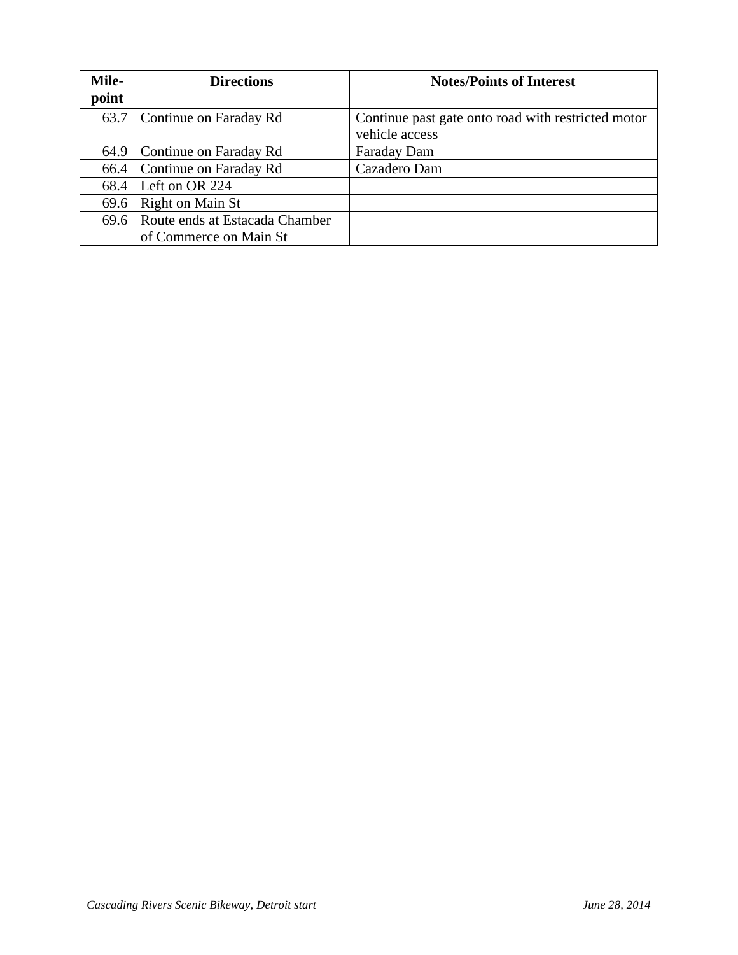| <b>Mile-</b><br>point | <b>Directions</b>                   | <b>Notes/Points of Interest</b>                                      |
|-----------------------|-------------------------------------|----------------------------------------------------------------------|
| 63.7                  | Continue on Faraday Rd              | Continue past gate onto road with restricted motor<br>vehicle access |
| 64.9                  | Continue on Faraday Rd              | Faraday Dam                                                          |
| 66.4                  | Continue on Faraday Rd              | Cazadero Dam                                                         |
| 68.4                  | Left on OR 224                      |                                                                      |
| 69.6                  | Right on Main St                    |                                                                      |
|                       | 69.6 Route ends at Estacada Chamber |                                                                      |
|                       | of Commerce on Main St              |                                                                      |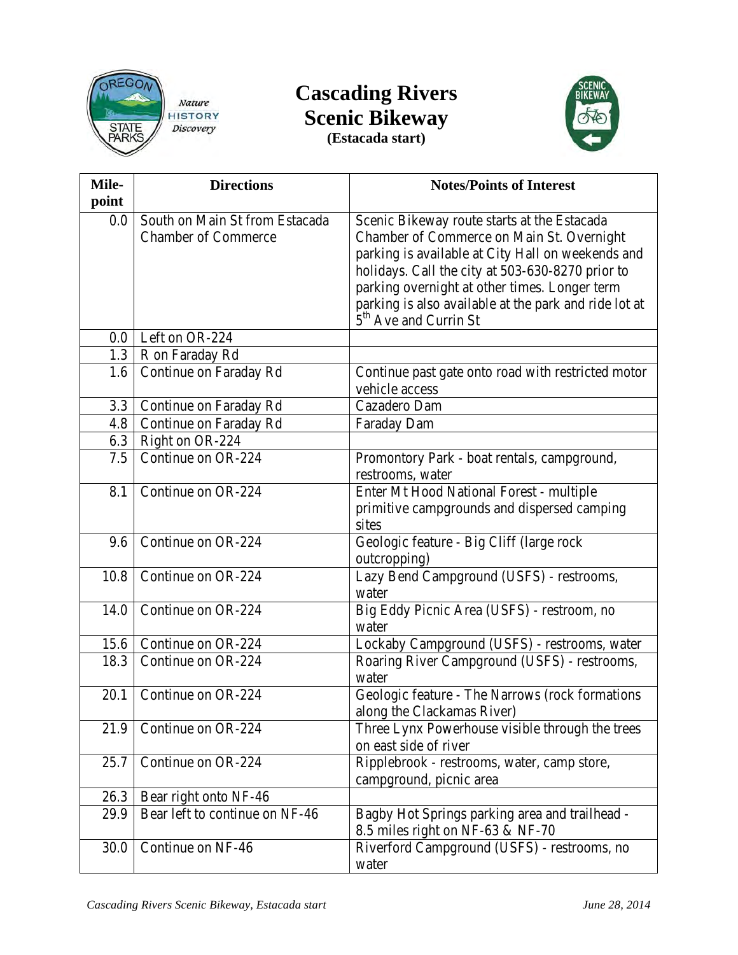

## **Cascading Rivers Scenic Bikeway (Estacada start)**



| Mile-<br>point | <b>Directions</b>                                            | <b>Notes/Points of Interest</b>                                                            |
|----------------|--------------------------------------------------------------|--------------------------------------------------------------------------------------------|
| $0.0\,$        | South on Main St from Estacada<br><b>Chamber of Commerce</b> | Scenic Bikeway route starts at the Estacada<br>Chamber of Commerce on Main St. Overnight   |
|                |                                                              | parking is available at City Hall on weekends and                                          |
|                |                                                              | holidays. Call the city at 503-630-8270 prior to                                           |
|                |                                                              | parking overnight at other times. Longer term                                              |
|                |                                                              | parking is also available at the park and ride lot at<br>5 <sup>th</sup> Ave and Currin St |
| $0.0\,$        | Left on OR-224                                               |                                                                                            |
| 1.3            | R on Faraday Rd                                              |                                                                                            |
| 1.6            | Continue on Faraday Rd                                       | Continue past gate onto road with restricted motor                                         |
|                |                                                              | vehicle access                                                                             |
| 3.3            | Continue on Faraday Rd                                       | Cazadero Dam                                                                               |
| 4.8            | Continue on Faraday Rd                                       | Faraday Dam                                                                                |
| 6.3            | Right on OR-224                                              |                                                                                            |
| 7.5            | Continue on OR-224                                           | Promontory Park - boat rentals, campground,                                                |
|                |                                                              | restrooms, water                                                                           |
| 8.1            | Continue on OR-224                                           | Enter Mt Hood National Forest - multiple                                                   |
|                |                                                              | primitive campgrounds and dispersed camping<br>sites                                       |
| 9.6            | Continue on OR-224                                           | Geologic feature - Big Cliff (large rock                                                   |
|                |                                                              | outcropping)                                                                               |
| 10.8           | Continue on OR-224                                           | Lazy Bend Campground (USFS) - restrooms,                                                   |
|                |                                                              | water                                                                                      |
| 14.0           | Continue on OR-224                                           | Big Eddy Picnic Area (USFS) - restroom, no                                                 |
|                |                                                              | water                                                                                      |
| 15.6           | Continue on OR-224                                           | Lockaby Campground (USFS) - restrooms, water                                               |
| 18.3           | Continue on OR-224                                           | Roaring River Campground (USFS) - restrooms,                                               |
|                |                                                              | water                                                                                      |
| 20.1           | Continue on OR-224                                           | Geologic feature - The Narrows (rock formations                                            |
|                |                                                              | along the Clackamas River)                                                                 |
| 21.9           | Continue on OR-224                                           | Three Lynx Powerhouse visible through the trees                                            |
|                |                                                              | on east side of river                                                                      |
| 25.7           | Continue on OR-224                                           | Ripplebrook - restrooms, water, camp store,                                                |
|                |                                                              | campground, picnic area                                                                    |
| 26.3           | Bear right onto NF-46                                        |                                                                                            |
| 29.9           | Bear left to continue on NF-46                               | Bagby Hot Springs parking area and trailhead -                                             |
|                |                                                              | 8.5 miles right on NF-63 $&$ NF-70                                                         |
| 30.0           | Continue on NF-46                                            | Riverford Campground (USFS) - restrooms, no                                                |
|                |                                                              | water                                                                                      |